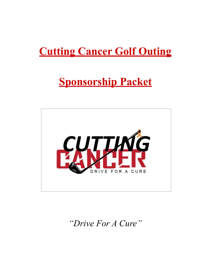# **Cutting Cancer Golf Outing**

# **Sponsorship Packet**



*"Drive For A Cure "*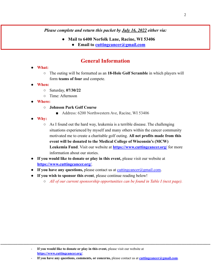#### *Please complete and return this packet by July 16, 2022 either via:*

- **● Mail to 6400 Norfolk Lane, Racine, WI 53406**
	- **● Email to [cuttingcancer@gmail.com](mailto:cuttingcancer@gmail.com)**

### **General Information**

#### ● **What:**

- The outing will be formatted as an **18-Hole Golf Scramble** in which players will form **teams of four** and compete.
- **● When:**
	- Saturday, **07/30/22**
	- Time: Afternoon
- **Where:**
	- **○ Johnson Park Golf Course**
		- Address: 6200 Northwestern Ave, Racine, WI 53406
- **Why:**
	- As I found out the hard way, leukemia is a terrible disease. The challenging situations experienced by myself and many others within the cancer community motivated me to create a charitable golf outing. **All net profits made from this event will be donated to the Medical College of Wisconsin's (MCW) Leukemia Fund**. Visit our website at **https://www.cuttingcancer.org/** for more information about our stories.
- **If you would like to donate or play in this event,** please visit our website at **<https://www.cuttingcancer.org/>**.
- **If you have any questions,** please contact us at [cuttingcancer@gmail.com.](mailto:cuttingcancer@gmail.com)
- **If you wish to sponsor this event**, please continue reading below!
	- *○ All of our current sponsorship opportunities can be found in Table I (next page).*

- **If you have any questions, comments, or concerns,** please contact us at **[cuttingcancer@gmail.com](mailto:cuttingcancer@gmail.com)**.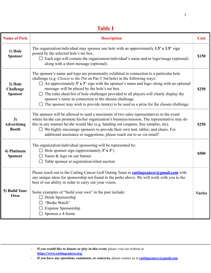### **Table I**

| <b>Name of Perk</b>                           | <b>Description</b>                                                                                                                                                                                                                                                                                                                                                                                                                                                                                                                                                                      |               |  |  |
|-----------------------------------------------|-----------------------------------------------------------------------------------------------------------------------------------------------------------------------------------------------------------------------------------------------------------------------------------------------------------------------------------------------------------------------------------------------------------------------------------------------------------------------------------------------------------------------------------------------------------------------------------------|---------------|--|--|
| 1) Hole<br><b>Sponsor</b>                     | The organization/individual may sponsor one hole with an approximately $1.5' \times 1.5'$ sign<br>posted by the selected hole's tee box.<br>Each sign will contain the organization/individual's name and/or logo/image (optional)<br>along with a short message (optional).                                                                                                                                                                                                                                                                                                            |               |  |  |
| 2) Hole<br><b>Challenge</b><br><b>Sponsor</b> | The sponsor's name and logo are prominently exhibited in connection to a particular hole<br>challenge (e.g. Closest to the Pin on Par-3 3rd hole) in the following ways:<br>$\Box$ An approximately 3' x 3' sign with the sponsor's name and logo-along with an optional<br>message-will be placed by the hole's tee box.<br>$\Box$ The rules sheet/list of hole challenges provided to all players will clearly display the<br>sponsor's name in connection to the chosen challenge.<br>$\Box$ The sponsor may wish to provide item(s) to be used as a prize for the chosen challenge. | \$250         |  |  |
| 3)<br><b>Advertising</b><br><b>Booth</b>      | The sponsor will be allowed to send a maximum of two sales representatives to the event<br>where he/she can promote his/her organization's business/mission. The representative may do<br>this in any manner he/she would like (e.g. handing out coupons, free samples, etc).<br>$\Box$ We highly encourage sponsors to provide their own tent, tables, and chairs. For<br>additional assistance or suggestions, please reach out to us via email!                                                                                                                                      |               |  |  |
| 4) Platinum<br><b>Sponsor</b>                 | The organization/individual sponsoring will be represented by:<br>$\Box$ Hole sponsor sign (approximately 3' x 3')<br>$\Box$ Name & logo on our banner<br>Table sponsor at registration/silent auction                                                                                                                                                                                                                                                                                                                                                                                  | \$500         |  |  |
| 5) Build Your<br>Own                          | Please reach out to the Cutting Cancer Golf Outing Team at <b>cutting cancer</b> @gmail.com with<br>any unique ideas for sponsorship not found in the perks above. We will work with you to the<br>best of our ability in order to carry out your vision.<br>Some examples of "build your own" in the past include:<br>Drink Sponsorship<br>"Birdie Watch"<br>Expense Sponsorship<br>Sponsor a 4-Some                                                                                                                                                                                   | <b>Varies</b> |  |  |

- **If you would like to donate or play in this event,** please visit our website at **<https://www.cuttingcancer.org/>**.

- **If you have any questions, comments, or concerns,** please contact us at **[cuttingcancer@gmail.com](mailto:cuttingcancer@gmail.com)**.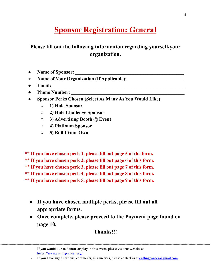## **Sponsor Registration: General**

### **Please fill out the following information regarding yourself/your organization.**

- **● Name of Sponsor: \_\_\_\_\_\_\_\_\_\_\_\_\_\_\_\_\_\_\_\_\_\_\_\_\_\_\_\_\_\_\_\_\_\_\_\_\_\_\_\_\_\_\_\_\_**
- **● Name of Your Organization (If Applicable): \_\_\_\_\_\_\_\_\_\_\_\_\_\_\_\_\_\_\_\_\_\_\_**
- **● Email: \_\_\_\_\_\_\_\_\_\_\_\_\_\_\_\_\_\_\_\_\_\_\_\_\_\_\_\_\_\_\_\_\_\_\_\_\_\_\_\_\_\_\_\_\_\_\_\_\_\_\_\_\_\_\_**
- **● Phone Number: \_\_\_\_\_\_\_\_\_\_\_\_\_\_\_\_\_\_\_\_\_\_\_\_\_\_\_\_\_\_\_\_\_\_\_\_\_\_\_\_\_\_\_\_\_\_\_**
- **● Sponsor Perks Chosen (Select As Many As You Would Like):**
	- **○ 1) Hole Sponsor**
	- **○ 2) Hole Challenge Sponsor**
	- **○ 3) Advertising Booth @ Event**
	- **○ 4) Platinum Sponsor**
	- **○ 5) Build Your Own**

**\*\* If you have chosen perk 1, please fill out page 5 of the form. \*\* If you have chosen perk 2, please fill out page 6 of this form. \*\* If you have chosen perk 3, please fill out page 7 of this form. \*\* If you have chosen perk 4, please fill out page 8 of this form. \*\* If you have chosen perk 5, please fill out page 9 of this form.**

- **● If you have chosen multiple perks, please fill out all appropriate forms.**
- **● Once complete, please proceed to the Payment page found on page 10.**

### **Thanks!!!**

<sup>-</sup> **If you would like to donate or play in this event,** please visit our website at **<https://www.cuttingcancer.org/>**.

<sup>-</sup> **If you have any questions, comments, or concerns,** please contact us at **[cuttingcancer@gmail.com](mailto:cuttingcancer@gmail.com)**.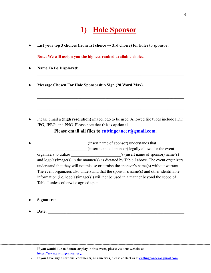## **1) Hole Sponsor**

 $\mathcal{L}_\text{max} = \mathcal{L}_\text{max} = \mathcal{L}_\text{max} = \mathcal{L}_\text{max} = \mathcal{L}_\text{max} = \mathcal{L}_\text{max} = \mathcal{L}_\text{max} = \mathcal{L}_\text{max} = \mathcal{L}_\text{max} = \mathcal{L}_\text{max} = \mathcal{L}_\text{max} = \mathcal{L}_\text{max} = \mathcal{L}_\text{max} = \mathcal{L}_\text{max} = \mathcal{L}_\text{max} = \mathcal{L}_\text{max} = \mathcal{L}_\text{max} = \mathcal{L}_\text{max} = \mathcal{$ 

 $\mathcal{L}_\text{max} = \mathcal{L}_\text{max} = \mathcal{L}_\text{max} = \mathcal{L}_\text{max} = \mathcal{L}_\text{max} = \mathcal{L}_\text{max} = \mathcal{L}_\text{max} = \mathcal{L}_\text{max} = \mathcal{L}_\text{max} = \mathcal{L}_\text{max} = \mathcal{L}_\text{max} = \mathcal{L}_\text{max} = \mathcal{L}_\text{max} = \mathcal{L}_\text{max} = \mathcal{L}_\text{max} = \mathcal{L}_\text{max} = \mathcal{L}_\text{max} = \mathcal{L}_\text{max} = \mathcal{$ 

 $\mathcal{L}_\text{max} = \mathcal{L}_\text{max} = \mathcal{L}_\text{max} = \mathcal{L}_\text{max} = \mathcal{L}_\text{max} = \mathcal{L}_\text{max} = \mathcal{L}_\text{max} = \mathcal{L}_\text{max} = \mathcal{L}_\text{max} = \mathcal{L}_\text{max} = \mathcal{L}_\text{max} = \mathcal{L}_\text{max} = \mathcal{L}_\text{max} = \mathcal{L}_\text{max} = \mathcal{L}_\text{max} = \mathcal{L}_\text{max} = \mathcal{L}_\text{max} = \mathcal{L}_\text{max} = \mathcal{$  $\mathcal{L}_\text{max} = \mathcal{L}_\text{max} = \mathcal{L}_\text{max} = \mathcal{L}_\text{max} = \mathcal{L}_\text{max} = \mathcal{L}_\text{max} = \mathcal{L}_\text{max} = \mathcal{L}_\text{max} = \mathcal{L}_\text{max} = \mathcal{L}_\text{max} = \mathcal{L}_\text{max} = \mathcal{L}_\text{max} = \mathcal{L}_\text{max} = \mathcal{L}_\text{max} = \mathcal{L}_\text{max} = \mathcal{L}_\text{max} = \mathcal{L}_\text{max} = \mathcal{L}_\text{max} = \mathcal{$  $\mathcal{L}_\text{max} = \mathcal{L}_\text{max} = \mathcal{L}_\text{max} = \mathcal{L}_\text{max} = \mathcal{L}_\text{max} = \mathcal{L}_\text{max} = \mathcal{L}_\text{max} = \mathcal{L}_\text{max} = \mathcal{L}_\text{max} = \mathcal{L}_\text{max} = \mathcal{L}_\text{max} = \mathcal{L}_\text{max} = \mathcal{L}_\text{max} = \mathcal{L}_\text{max} = \mathcal{L}_\text{max} = \mathcal{L}_\text{max} = \mathcal{L}_\text{max} = \mathcal{L}_\text{max} = \mathcal{$  $\mathcal{L}_\text{max} = \mathcal{L}_\text{max} = \mathcal{L}_\text{max} = \mathcal{L}_\text{max} = \mathcal{L}_\text{max} = \mathcal{L}_\text{max} = \mathcal{L}_\text{max} = \mathcal{L}_\text{max} = \mathcal{L}_\text{max} = \mathcal{L}_\text{max} = \mathcal{L}_\text{max} = \mathcal{L}_\text{max} = \mathcal{L}_\text{max} = \mathcal{L}_\text{max} = \mathcal{L}_\text{max} = \mathcal{L}_\text{max} = \mathcal{L}_\text{max} = \mathcal{L}_\text{max} = \mathcal{$ 

List your top 3 choices (from 1st choice  $\rightarrow$  3rd choice) for holes to sponsor:

**Note: We will assign you the highest-ranked available choice.**

- **Name To Be Displayed:**
- **● Message Chosen For Hole Sponsorship Sign (20 Word Max).**

● Please email a (**high resolution**) image/logo to be used. Allowed file types include PDF, JPG, JPEG, and PNG. Please note that **this is optional**.

**Please email all files to [cuttingcancer@gmail.com](mailto:cuttingcancer@gmail.com).**

- (insert name of sponsor) understands that \_\_\_\_\_\_\_\_\_\_\_\_\_\_\_\_\_\_\_\_\_\_\_\_ (insert name of sponsor) legally allows for the event organizers to utilize  $\therefore$  (insert name of sponsor) name(s) and logo(s)/image(s) in the manner(s) as dictated by Table I above. The event organizers understand that they will not misuse or tarnish the sponsor's name(s) without warrant. The event organizers also understand that the sponsor's name(s) and other identifiable information (i.e. logo(s)/image(s)) will not be used in a manner beyond the scope of Table I unless otherwise agreed upon.
- **Signature:**  $\blacksquare$
- Date:

<sup>-</sup> **If you would like to donate or play in this event,** please visit our website at **<https://www.cuttingcancer.org/>**.

<sup>-</sup> **If you have any questions, comments, or concerns,** please contact us at **[cuttingcancer@gmail.com](mailto:cuttingcancer@gmail.com)**.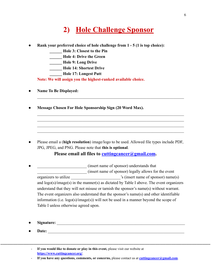### **2) Hole Challenge Sponsor**

- **Rank your preferred choice of hole challenge from 1 5 (1 is top choice):** 
	- **\_\_\_\_\_\_ Hole 3: Closest to the Pin**
	- **\_\_\_\_\_\_ Hole 4: Drive the Green**
	- **\_\_\_\_\_\_ Hole 9: Long Drive**
	- **\_\_\_\_\_\_ Hole 14: Shortest Drive**
	- **\_\_\_\_\_\_ Hole 17: Longest Putt**

**Note: We will assign you the highest-ranked available choice.**

- **Name To Be Displayed:**
- **● Message Chosen For Hole Sponsorship Sign (20 Word Max).**

● Please email a (**high resolution**) image/logo to be used. Allowed file types include PDF, JPG, JPEG, and PNG. Please note that **this is optional**.

 $\mathcal{L}_\text{max} = \mathcal{L}_\text{max} = \mathcal{L}_\text{max} = \mathcal{L}_\text{max} = \mathcal{L}_\text{max} = \mathcal{L}_\text{max} = \mathcal{L}_\text{max} = \mathcal{L}_\text{max} = \mathcal{L}_\text{max} = \mathcal{L}_\text{max} = \mathcal{L}_\text{max} = \mathcal{L}_\text{max} = \mathcal{L}_\text{max} = \mathcal{L}_\text{max} = \mathcal{L}_\text{max} = \mathcal{L}_\text{max} = \mathcal{L}_\text{max} = \mathcal{L}_\text{max} = \mathcal{$ 

 $\mathcal{L}_\text{max} = \mathcal{L}_\text{max} = \mathcal{L}_\text{max} = \mathcal{L}_\text{max} = \mathcal{L}_\text{max} = \mathcal{L}_\text{max} = \mathcal{L}_\text{max} = \mathcal{L}_\text{max} = \mathcal{L}_\text{max} = \mathcal{L}_\text{max} = \mathcal{L}_\text{max} = \mathcal{L}_\text{max} = \mathcal{L}_\text{max} = \mathcal{L}_\text{max} = \mathcal{L}_\text{max} = \mathcal{L}_\text{max} = \mathcal{L}_\text{max} = \mathcal{L}_\text{max} = \mathcal{$  $\mathcal{L}_\text{max} = \mathcal{L}_\text{max} = \mathcal{L}_\text{max} = \mathcal{L}_\text{max} = \mathcal{L}_\text{max} = \mathcal{L}_\text{max} = \mathcal{L}_\text{max} = \mathcal{L}_\text{max} = \mathcal{L}_\text{max} = \mathcal{L}_\text{max} = \mathcal{L}_\text{max} = \mathcal{L}_\text{max} = \mathcal{L}_\text{max} = \mathcal{L}_\text{max} = \mathcal{L}_\text{max} = \mathcal{L}_\text{max} = \mathcal{L}_\text{max} = \mathcal{L}_\text{max} = \mathcal{$  $\mathcal{L}_\text{max} = \mathcal{L}_\text{max} = \mathcal{L}_\text{max} = \mathcal{L}_\text{max} = \mathcal{L}_\text{max} = \mathcal{L}_\text{max} = \mathcal{L}_\text{max} = \mathcal{L}_\text{max} = \mathcal{L}_\text{max} = \mathcal{L}_\text{max} = \mathcal{L}_\text{max} = \mathcal{L}_\text{max} = \mathcal{L}_\text{max} = \mathcal{L}_\text{max} = \mathcal{L}_\text{max} = \mathcal{L}_\text{max} = \mathcal{L}_\text{max} = \mathcal{L}_\text{max} = \mathcal{$  $\mathcal{L}_\text{max} = \mathcal{L}_\text{max} = \mathcal{L}_\text{max} = \mathcal{L}_\text{max} = \mathcal{L}_\text{max} = \mathcal{L}_\text{max} = \mathcal{L}_\text{max} = \mathcal{L}_\text{max} = \mathcal{L}_\text{max} = \mathcal{L}_\text{max} = \mathcal{L}_\text{max} = \mathcal{L}_\text{max} = \mathcal{L}_\text{max} = \mathcal{L}_\text{max} = \mathcal{L}_\text{max} = \mathcal{L}_\text{max} = \mathcal{L}_\text{max} = \mathcal{L}_\text{max} = \mathcal{$ 

**Please email all files to [cuttingcancer@gmail.com](mailto:cuttingcancer@gmail.com).**

- **a**  $(insert name of sponsor) understands that$ \_\_\_\_\_\_\_\_\_\_\_\_\_\_\_\_\_\_\_\_\_\_\_\_ (insert name of sponsor) legally allows for the event organizers to utilize \_\_\_\_\_\_\_\_\_\_\_\_\_\_\_\_\_\_\_\_\_\_\_\_'s (insert name of sponsor) name(s) and logo(s)/image(s) in the manner(s) as dictated by Table I above. The event organizers understand that they will not misuse or tarnish the sponsor's name(s) without warrant. The event organizers also understand that the sponsor's name(s) and other identifiable information (i.e. logo(s)/image(s)) will not be used in a manner beyond the scope of Table I unless otherwise agreed upon.
- **Signature:** \_\_\_\_\_\_\_\_\_\_\_\_\_\_\_\_\_\_\_\_\_\_\_\_\_\_\_\_\_\_\_\_\_\_\_\_\_\_\_\_\_\_\_\_\_\_\_\_\_\_\_\_\_\_\_\_\_\_\_\_\_\_
- **Date:** \_\_\_\_\_\_\_\_\_\_\_\_\_\_\_\_\_\_\_\_\_\_\_\_\_\_\_\_\_\_\_\_\_\_\_\_\_\_\_\_\_\_\_\_\_\_\_\_\_\_\_\_\_\_\_\_\_\_\_\_\_\_\_\_\_\_

- **If you would like to donate or play in this event,** please visit our website at **<https://www.cuttingcancer.org/>**.

- **If you have any questions, comments, or concerns,** please contact us at **[cuttingcancer@gmail.com](mailto:cuttingcancer@gmail.com)**.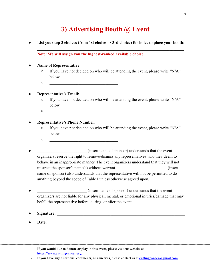### **3) Advertising Booth @ Event**

• List your top 3 choices (from 1st choice  $\rightarrow$  3rd choice) for holes to place your booth:

#### **Note: We will assign you the highest-ranked available choice.**

#### ● **Name of Representative:**

○ If you have not decided on who will be attending the event, please write "N/A" below.

 $\mathcal{L}_\text{max} = \mathcal{L}_\text{max} = \mathcal{L}_\text{max} = \mathcal{L}_\text{max} = \mathcal{L}_\text{max} = \mathcal{L}_\text{max} = \mathcal{L}_\text{max} = \mathcal{L}_\text{max} = \mathcal{L}_\text{max} = \mathcal{L}_\text{max} = \mathcal{L}_\text{max} = \mathcal{L}_\text{max} = \mathcal{L}_\text{max} = \mathcal{L}_\text{max} = \mathcal{L}_\text{max} = \mathcal{L}_\text{max} = \mathcal{L}_\text{max} = \mathcal{L}_\text{max} = \mathcal{$ 

 $\circ$ 

#### **● Representative's Email:**

- If you have not decided on who will be attending the event, please write "N/A" below.
- $\circ$

#### **● Representative's Phone Number:**

- If you have not decided on who will be attending the event, please write "N/A" below.
- $\circ$
- \_\_\_\_\_\_\_\_\_\_\_\_\_\_\_\_\_\_\_\_\_\_\_\_ (insert name of sponsor) understands that the event organizers reserve the right to remove/dismiss any representatives who they deem to behave in an inappropriate manner. The event organizers understand that they will not mistreat the sponsor's name(s) without warrant.  $(insert)$ name of sponsor) also understands that the representative will not be permitted to do anything beyond the scope of Table I unless otherwise agreed upon.
- **a a** (insert name of sponsor) understands that the event organizers are not liable for any physical, mental, or emotional injuries/damage that may befall the representative before, during, or after the event.
- **Signature:**  $\blacksquare$
- **Date:** \_\_\_\_\_\_\_\_\_\_\_\_\_\_\_\_\_\_\_\_\_\_\_\_\_\_\_\_\_\_\_\_\_\_\_\_\_\_\_\_\_\_\_\_\_\_\_\_\_\_\_\_\_\_\_\_\_\_\_\_\_\_\_\_\_\_

<sup>-</sup> **If you would like to donate or play in this event,** please visit our website at **<https://www.cuttingcancer.org/>**.

<sup>-</sup> **If you have any questions, comments, or concerns,** please contact us at **[cuttingcancer@gmail.com](mailto:cuttingcancer@gmail.com)**.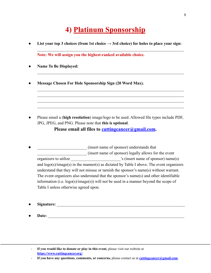### **4) Platinum Sponsorship**

List your top 3 choices (from 1st choice  $\rightarrow$  3rd choice) for holes to place your sign:

 $\mathcal{L}_\text{max} = \mathcal{L}_\text{max} = \mathcal{L}_\text{max} = \mathcal{L}_\text{max} = \mathcal{L}_\text{max} = \mathcal{L}_\text{max} = \mathcal{L}_\text{max} = \mathcal{L}_\text{max} = \mathcal{L}_\text{max} = \mathcal{L}_\text{max} = \mathcal{L}_\text{max} = \mathcal{L}_\text{max} = \mathcal{L}_\text{max} = \mathcal{L}_\text{max} = \mathcal{L}_\text{max} = \mathcal{L}_\text{max} = \mathcal{L}_\text{max} = \mathcal{L}_\text{max} = \mathcal{$ 

 $\mathcal{L}_\text{max} = \mathcal{L}_\text{max} = \mathcal{L}_\text{max} = \mathcal{L}_\text{max} = \mathcal{L}_\text{max} = \mathcal{L}_\text{max} = \mathcal{L}_\text{max} = \mathcal{L}_\text{max} = \mathcal{L}_\text{max} = \mathcal{L}_\text{max} = \mathcal{L}_\text{max} = \mathcal{L}_\text{max} = \mathcal{L}_\text{max} = \mathcal{L}_\text{max} = \mathcal{L}_\text{max} = \mathcal{L}_\text{max} = \mathcal{L}_\text{max} = \mathcal{L}_\text{max} = \mathcal{$ 

 $\mathcal{L}_\text{max} = \mathcal{L}_\text{max} = \mathcal{L}_\text{max} = \mathcal{L}_\text{max} = \mathcal{L}_\text{max} = \mathcal{L}_\text{max} = \mathcal{L}_\text{max} = \mathcal{L}_\text{max} = \mathcal{L}_\text{max} = \mathcal{L}_\text{max} = \mathcal{L}_\text{max} = \mathcal{L}_\text{max} = \mathcal{L}_\text{max} = \mathcal{L}_\text{max} = \mathcal{L}_\text{max} = \mathcal{L}_\text{max} = \mathcal{L}_\text{max} = \mathcal{L}_\text{max} = \mathcal{$  $\mathcal{L}_\text{max} = \mathcal{L}_\text{max} = \mathcal{L}_\text{max} = \mathcal{L}_\text{max} = \mathcal{L}_\text{max} = \mathcal{L}_\text{max} = \mathcal{L}_\text{max} = \mathcal{L}_\text{max} = \mathcal{L}_\text{max} = \mathcal{L}_\text{max} = \mathcal{L}_\text{max} = \mathcal{L}_\text{max} = \mathcal{L}_\text{max} = \mathcal{L}_\text{max} = \mathcal{L}_\text{max} = \mathcal{L}_\text{max} = \mathcal{L}_\text{max} = \mathcal{L}_\text{max} = \mathcal{$  $\mathcal{L}_\text{max} = \mathcal{L}_\text{max} = \mathcal{L}_\text{max} = \mathcal{L}_\text{max} = \mathcal{L}_\text{max} = \mathcal{L}_\text{max} = \mathcal{L}_\text{max} = \mathcal{L}_\text{max} = \mathcal{L}_\text{max} = \mathcal{L}_\text{max} = \mathcal{L}_\text{max} = \mathcal{L}_\text{max} = \mathcal{L}_\text{max} = \mathcal{L}_\text{max} = \mathcal{L}_\text{max} = \mathcal{L}_\text{max} = \mathcal{L}_\text{max} = \mathcal{L}_\text{max} = \mathcal{$  $\mathcal{L}_\text{max} = \mathcal{L}_\text{max} = \mathcal{L}_\text{max} = \mathcal{L}_\text{max} = \mathcal{L}_\text{max} = \mathcal{L}_\text{max} = \mathcal{L}_\text{max} = \mathcal{L}_\text{max} = \mathcal{L}_\text{max} = \mathcal{L}_\text{max} = \mathcal{L}_\text{max} = \mathcal{L}_\text{max} = \mathcal{L}_\text{max} = \mathcal{L}_\text{max} = \mathcal{L}_\text{max} = \mathcal{L}_\text{max} = \mathcal{L}_\text{max} = \mathcal{L}_\text{max} = \mathcal{$ 

**Note: We will assign you the highest-ranked available choice.**

- **Name To Be Displayed:**
- **● Message Chosen For Hole Sponsorship Sign (20 Word Max).**

● Please email a (**high resolution**) image/logo to be used. Allowed file types include PDF, JPG, JPEG, and PNG. Please note that **this is optional**.

**Please email all files to [cuttingcancer@gmail.com](mailto:cuttingcancer@gmail.com).**

- **EXECUTE:** (insert name of sponsor) understands that \_\_\_\_\_\_\_\_\_\_\_\_\_\_\_\_\_\_\_\_\_\_\_\_ (insert name of sponsor) legally allows for the event organizers to utilize  $\cdot$  's (insert name of sponsor) name(s) and logo(s)/image(s) in the manner(s) as dictated by Table I above. The event organizers understand that they will not misuse or tarnish the sponsor's name(s) without warrant. The event organizers also understand that the sponsor's name(s) and other identifiable information (i.e. logo(s)/image(s)) will not be used in a manner beyond the scope of Table I unless otherwise agreed upon.
- **Signature:** \_\_\_\_\_\_\_\_\_\_\_\_\_\_\_\_\_\_\_\_\_\_\_\_\_\_\_\_\_\_\_\_\_\_\_\_\_\_\_\_\_\_\_\_\_\_\_\_\_\_\_\_\_\_\_\_\_\_\_\_\_\_
- **Date:** \_\_\_\_\_\_\_\_\_\_\_\_\_\_\_\_\_\_\_\_\_\_\_\_\_\_\_\_\_\_\_\_\_\_\_\_\_\_\_\_\_\_\_\_\_\_\_\_\_\_\_\_\_\_\_\_\_\_\_\_\_\_\_\_\_\_

<sup>-</sup> **If you would like to donate or play in this event,** please visit our website at **<https://www.cuttingcancer.org/>**.

<sup>-</sup> **If you have any questions, comments, or concerns,** please contact us at **[cuttingcancer@gmail.com](mailto:cuttingcancer@gmail.com)**.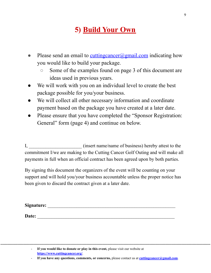# **5) Build Your Own**

- Please send an email to cutting cancer  $\omega$  gmail.com indicating how you would like to build your package.
	- Some of the examples found on page 3 of this document are ideas used in previous years.
- We will work with you on an individual level to create the best package possible for you/your business.
- We will collect all other necessary information and coordinate payment based on the package you have created at a later date.
- Please ensure that you have completed the "Sponsor Registration: General" form (page 4) and continue on below.

I, \_\_\_\_\_\_\_\_\_\_\_\_\_\_\_\_\_\_\_\_\_\_ (insert name/name of business) hereby attest to the commitment I/we are making to the Cutting Cancer Golf Outing and will make all payments in full when an official contract has been agreed upon by both parties.

By signing this document the organizers of the event will be counting on your support and will hold you/your business accountable unless the proper notice has been given to discard the contract given at a later date.

| Signature: |  |  |
|------------|--|--|
|            |  |  |
| Date:      |  |  |

<sup>-</sup> **If you would like to donate or play in this event,** please visit our website at **<https://www.cuttingcancer.org/>**.

<sup>-</sup> **If you have any questions, comments, or concerns,** please contact us at **[cuttingcancer@gmail.com](mailto:cuttingcancer@gmail.com)**.